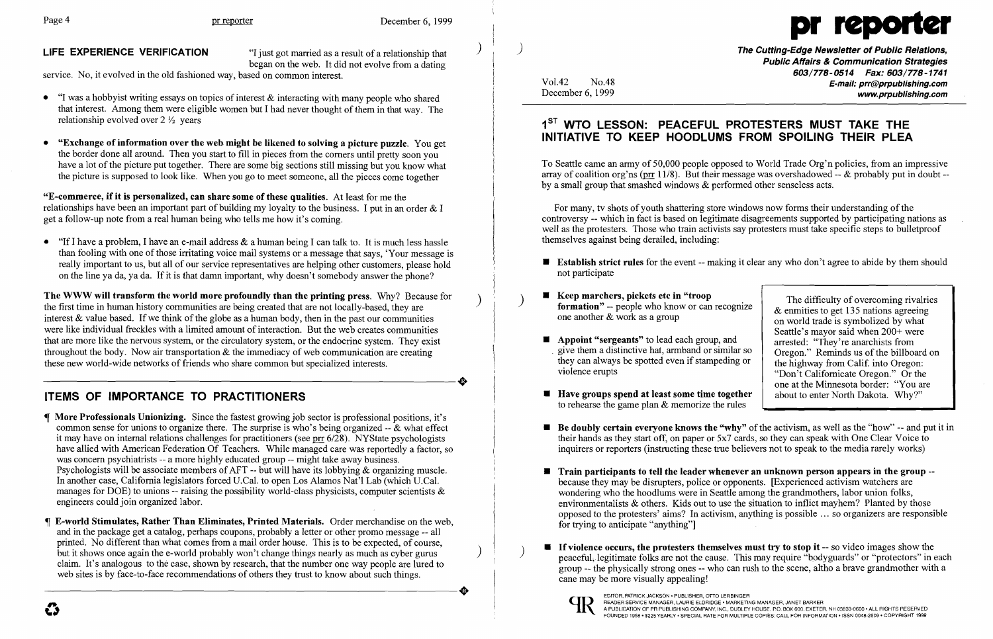

) LIFE EXPERIENCE VERIFICATION "I just got married as a result of a relationship that began on the web. It did not evolve from a dating

service. No, it evolved in the old fashioned way, based on common interest.

- "I was a hobbyist writing essays on topics of interest  $\&$  interacting with many people who shared that interest. Among them were eligible women but I had never thought of them in that way. The relationship evolved over 2 *Y2* years
- "Exchange of information over the web might be likened to solving a picture puzzle. You get the border done all around. Then you start to fill in pieces from the comers until pretty soon you have a lot of the picture put together. There are some big sections still missing but you know what the picture is supposed to look like. When you go to meet someone, all the pieces come together

• "If I have a problem, I have an e-mail address  $\&$  a human being I can talk to. It is much less hassle than fooling with one of those irritating voice mail systems or a message that says, 'Your message is really important to us, but all of our service representatives are helping other customers, please hold on the line ya da, ya da. If it is that damn important, why doesn't somebody answer the phone?

The WWW will transform the world more profoundly than the printing press. Why? Because for the first time in human history communities are being created that are not locally-based, they are ' interest  $\&$  value based. If we think of the globe as a human body, then in the past our communities were like individual freckles with a limited amount of interaction. But the web creates communities that are more like the nervous system, or the circulatory system, or the endocrine system. They exist throughout the body. Now air transportation  $\&$  the immediacy of web communication are creating these new world-wide networks of friends who share common but specialized interests. throughout the body. Now air transportation & the immediacy of web communication are creating<br>these new world-wide networks of friends who share common but specialized interests.<br> $\bullet$ 

"E-commerce, if it is personalized, can share some of these qualities. At least for me the relationships have been an important part of building my loyalty to the business. I put in an order & I get a follow-up note from a real human being who tells me how it's coming.

## 1<sup>ST</sup> WTO LESSON: PEACEFUL PROTESTERS MUST TAKE THE INITIATIVE TO KEEP HOODLUMS FROM SPOILING THEIR PLEA

# ITEMS OF IMPORTANCE TO PRACTITIONERS

**• Be doubly certain everyone knows the "why"** of the activism, as well as the "how"  $-$  and put it in their hands as they start off, on paper or 5x7 cards, so they can speak with One Clear Voice to inquirers or reporters (instructing these true believers not to speak to the media rarely works)

- More Professionals Unionizing. Since the fastest growing job sector is professional positions, it's common sense for unions to organize there. The surprise is who's being organized -- & what effect it may have on internal relations challenges for practitioners (see  $\frac{\text{pr}}{6}$  6/28). NYState psychologists have allied with American Federation Of Teachers. While managed care was reportedly a factor, so was concern psychiatrists -- a more highly educated group -- might take away business. Psychologists will be associate members of AFT -- but will have its lobbying & organizing muscle. In another case, California legislators forced U.Cal. to open Los Alamos Nat'l Lab (which U.Cal. manages for DOE) to unions -- raising the possibility world-class physicists, computer scientists  $\&$ engineers could join organized labor.
- E-world Stimulates, Rather Than Eliminates, Printed Materials. Order merchandise on the web, and in the package get a catalog, perhaps coupons, probably a letter or other promo message -- all printed. No different than what comes from a mail order house. This is to be expected, of course, but it shows once again the e-world probably won't change things nearly as much as cyber gurus claim. It's analogous to the case, shown by research, that the number one way people are lured to web sites is by face-to-face recommendations of others they trust to know about such things. web sites is by face-to-face recommendations of others they trust to know about such things.

 $\blacksquare$  Train participants to tell the leader whenever an unknown person appears in the group  $$ because they may be disrupters, police or opponents. [Experienced activism watchers are environmentalists & others. Kids out to use the situation to inflict mayhem? Planted by those opposed to the protesters' aims? In activism, anything is possible ... so organizers are responsible

 $\blacksquare$  If violence occurs, the protesters themselves must try to stop it -- so video images show the peaceful; legitimate folks are not the cause. This may require "bodyguards" or "protectors" in each group -- the physically strong ones -- who can rush to the scene, altho a brave grandmother with a

)

Vol.42 No.48 December 6, 1999

The Cutting-Edge Newsletter of Public Relations, Public Affairs & Communication Strategies *603/778-0514 Fax: 603/778-1741*  E-mail: prr@prpublishing.com www.prpublishing.com

**Establish strict rules** for the event -- making it clear any who don't agree to abide by them should

To Seattle came an army of 50,000 people opposed to World Trade Org'n policies, from an impressive array of coalition org'ns (pr  $11/8$ ). But their message was overshadowed -- & probably put in doubt -by a small group that smashed windows & performed other senseless acts.

For many, tv shots of youth shattering store windows now forms their understanding of the controversy -- which in fact is based on legitimate disagreements supported by participating nations as well as the protesters. Those who train activists say protesters must take specific steps to bulletproof themselves against being derailed, including:

> The difficulty of overcoming rivalries & enmities to get 135 nations agreeing on world trade is symbolized by what Seattle's mayor said when 200+ were arrested: "They're anarchists from Oregon." Reminds us of the billboard on the highway from Calif. into Oregon: "Don't Californicate Oregon." Or the one at the Minnesota border: "You are about to enter North Dakota. Why?"

- not participate
- Keep marchers, pickets etc in "troop formation" -- people who know or can recognize one another & work as a group
- $\blacksquare$  Appoint "sergeants" to lead each group, and give them a distinctive hat, armband or similar so they can always be spotted even if stampeding or violence erupts
- $\blacksquare$  Have groups spend at least some time together to rehearse the game plan & memorize the rules
- 
- wondering who the hoodlums were in Seattle among the grandmothers, labor union folks, for trying to anticipate "anything"]
- cane may be more visually appealing!



EDITOR, PATRICK JACKSON • PUBLISHER, OTTO LERBINGER<br>READER SERVICE MANAGER, LAURIE ELDRIDGE • MARKETING MANAGER, JANET BARKER